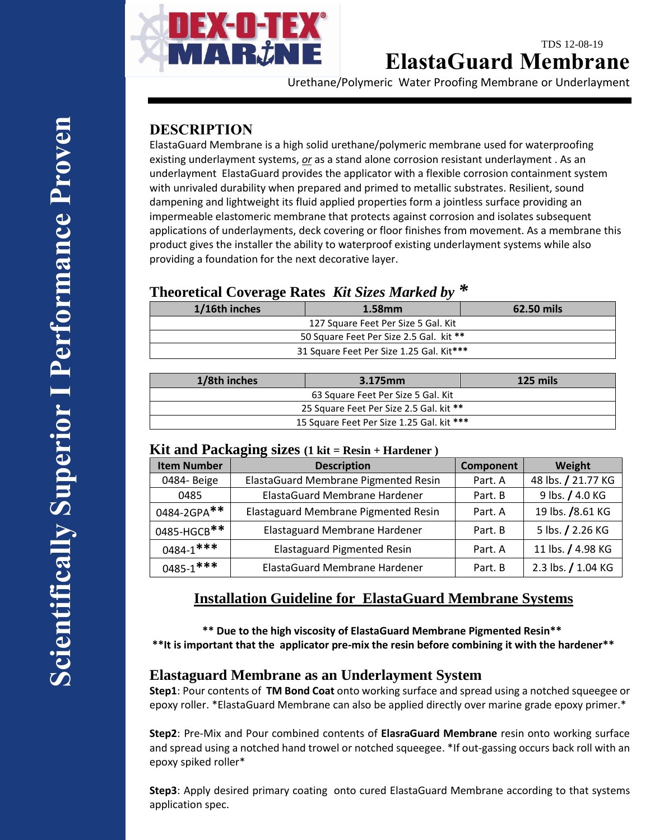

## TDS 12-08-19 **ElastaGuard Membrane**

Urethane/Polymeric Water Proofing Membrane or Underlayment

# **DESCRIPTION**

ElastaGuard Membrane is a high solid urethane/polymeric membrane used for waterproofing existing underlayment systems, *or* as a stand alone corrosion resistant underlayment . As an underlayment ElastaGuard provides the applicator with a flexible corrosion containment system with unrivaled durability when prepared and primed to metallic substrates. Resilient, sound dampening and lightweight its fluid applied properties form a jointless surface providing an impermeable elastomeric membrane that protects against corrosion and isolates subsequent applications of underlayments, deck covering or floor finishes from movement. As a membrane this product gives the installer the ability to waterproof existing underlayment systems while also providing a foundation for the next decorative layer.

## **Theoretical Coverage Rates** *Kit Sizes Marked by \**

| 1/16th inches                            | $1.58$ mm | 62.50 mils |  |
|------------------------------------------|-----------|------------|--|
| 127 Square Feet Per Size 5 Gal. Kit      |           |            |  |
| 50 Square Feet Per Size 2.5 Gal. kit **  |           |            |  |
| 31 Square Feet Per Size 1.25 Gal. Kit*** |           |            |  |
|                                          |           |            |  |

| 1/8th inches                              | 3.175mm | 125 mils |  |  |
|-------------------------------------------|---------|----------|--|--|
| 63 Square Feet Per Size 5 Gal. Kit        |         |          |  |  |
| 25 Square Feet Per Size 2.5 Gal. kit **   |         |          |  |  |
| 15 Square Feet Per Size 1.25 Gal. kit *** |         |          |  |  |

#### **Kit and Packaging sizes (1 kit = Resin + Hardener )**

| <b>Item Number</b> | <b>Description</b>                   | Component | Weight             |  |
|--------------------|--------------------------------------|-----------|--------------------|--|
| 0484-Beige         | ElastaGuard Membrane Pigmented Resin | Part. A   | 48 lbs. / 21.77 KG |  |
| 0485               | ElastaGuard Membrane Hardener        | Part. B   | 9 lbs. / 4.0 KG    |  |
| 0484-2GPA**        | Elastaguard Membrane Pigmented Resin | Part. A   | 19 lbs. /8.61 KG   |  |
| 0485-HGCB**        | Elastaguard Membrane Hardener        | Part. B   | 5 lbs. / 2.26 KG   |  |
| $0484 - 1$ ***     | <b>Elastaguard Pigmented Resin</b>   | Part. A   | 11 lbs. / 4.98 KG  |  |
| $0485 - 1$ ***     | ElastaGuard Membrane Hardener        | Part. B   | 2.3 lbs. / 1.04 KG |  |

# **Installation Guideline for ElastaGuard Membrane Systems**

 **\*\* Due to the high viscosity of ElastaGuard Membrane Pigmented Resin\*\* \*\*It is important that the applicator pre-mix the resin before combining it with the hardener\*\***

## **Elastaguard Membrane as an Underlayment System**

**Step1**: Pour contents of **TM Bond Coat** onto working surface and spread using a notched squeegee or epoxy roller. \*ElastaGuard Membrane can also be applied directly over marine grade epoxy primer.\*

**Step2**: Pre-Mix and Pour combined contents of **ElasraGuard Membrane** resin onto working surface and spread using a notched hand trowel or notched squeegee. \*If out-gassing occurs back roll with an epoxy spiked roller\*

**Step3**: Apply desired primary coating onto cured ElastaGuard Membrane according to that systems application spec.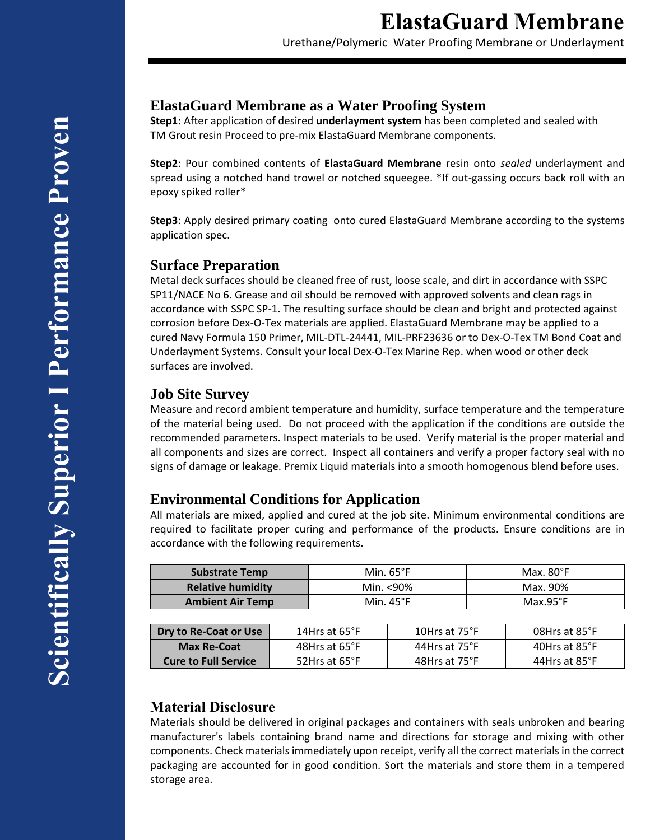Urethane/Polymeric Water Proofing Membrane or Underlayment

## **ElastaGuard Membrane as a Water Proofing System**

**Step1:** After application of desired **underlayment system** has been completed and sealed with TM Grout resin Proceed to pre-mix ElastaGuard Membrane components.

**Step2**: Pour combined contents of **ElastaGuard Membrane** resin onto *sealed* underlayment and spread using a notched hand trowel or notched squeegee. \*If out-gassing occurs back roll with an epoxy spiked roller\*

**Step3**: Apply desired primary coating onto cured ElastaGuard Membrane according to the systems application spec.

#### **Surface Preparation**

Metal deck surfaces should be cleaned free of rust, loose scale, and dirt in accordance with SSPC SP11/NACE No 6. Grease and oil should be removed with approved solvents and clean rags in accordance with SSPC SP-1. The resulting surface should be clean and bright and protected against corrosion before Dex-O-Tex materials are applied. ElastaGuard Membrane may be applied to a cured Navy Formula 150 Primer, MIL-DTL-24441, MIL-PRF23636 or to Dex-O-Tex TM Bond Coat and Underlayment Systems. Consult your local Dex-O-Tex Marine Rep. when wood or other deck surfaces are involved.

#### **Job Site Survey**

Measure and record ambient temperature and humidity, surface temperature and the temperature of the material being used. Do not proceed with the application if the conditions are outside the recommended parameters. Inspect materials to be used. Verify material is the proper material and all components and sizes are correct. Inspect all containers and verify a proper factory seal with no signs of damage or leakage. Premix Liquid materials into a smooth homogenous blend before uses.

## **Environmental Conditions for Application**

All materials are mixed, applied and cured at the job site. Minimum environmental conditions are required to facilitate proper curing and performance of the products. Ensure conditions are in accordance with the following requirements.

| <b>Substrate Temp</b>    | Min. $65^{\circ}$ F | Max. $80^{\circ}$ F |
|--------------------------|---------------------|---------------------|
| <b>Relative humidity</b> | Min. <90%           | Max. 90%            |
| <b>Ambient Air Temp</b>  | Min. $45^{\circ}$ F | $Max.95^{\circ}F$   |

| Dry to Re-Coat or Use       | 14Hrs at $65^{\circ}$ F | 10Hrs at 75°F | 08Hrs at 85°F |
|-----------------------------|-------------------------|---------------|---------------|
| <b>Max Re-Coat</b>          | 48Hrs at 65°F           | 44Hrs at 75°F | 40Hrs at 85°F |
| <b>Cure to Full Service</b> | 52Hrs at 65°F           | 48Hrs at 75°F | 44Hrs at 85°F |

# **Material Disclosure**

Materials should be delivered in original packages and containers with seals unbroken and bearing manufacturer's labels containing brand name and directions for storage and mixing with other components. Check materials immediately upon receipt, verify all the correct materials in the correct packaging are accounted for in good condition. Sort the materials and store them in a tempered storage area.